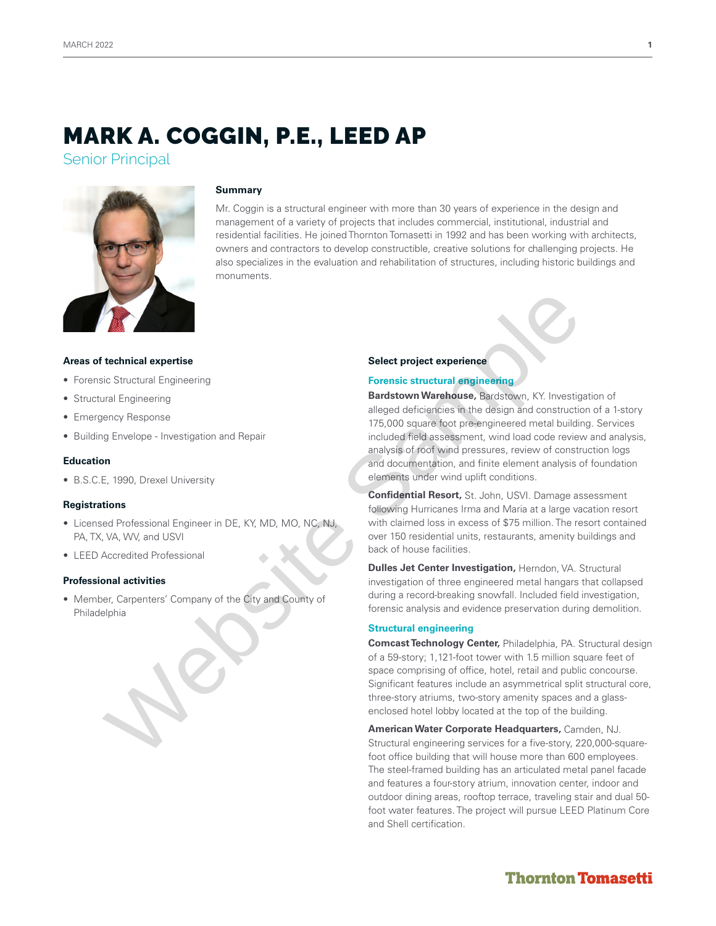# MARK A. COGGIN, P.E., LEED AP

Senior Principal



## **Summary**

Mr. Coggin is a structural engineer with more than 30 years of experience in the design and management of a variety of projects that includes commercial, institutional, industrial and residential facilities. He joined Thornton Tomasetti in 1992 and has been working with architects, owners and contractors to develop constructible, creative solutions for challenging projects. He also specializes in the evaluation and rehabilitation of structures, including historic buildings and monuments.

#### **Areas of technical expertise**

- Forensic Structural Engineering
- Structural Engineering
- Emergency Response
- Building Envelope Investigation and Repair

#### **Education**

• B.S.C.E, 1990, Drexel University

#### **Registrations**

- Licensed Professional Engineer in DE, KY, MD, MO, NC, NJ, PA, TX, VA, WV, and USVI
- LEED Accredited Professional

#### **Professional activities**

• Member, Carpenters' Company of the City and County of Philadelphia

#### **Select project experience**

#### **Forensic structural engineering**

**Bardstown Warehouse,** Bardstown, KY. Investigation of alleged deficiencies in the design and construction of a 1-story 175,000 square foot pre-engineered metal building. Services included field assessment, wind load code review and analysis, analysis of roof wind pressures, review of construction logs and documentation, and finite element analysis of foundation elements under wind uplift conditions. **Examples and Examples and September 19**<br>
Select project experience<br>
Six Structural Engineering<br>
Six Structural Engineering<br>
Six Structural Engineering<br>
Six Structural Engineering<br>
Six Structural Engineering<br>
Six Structura

**Confidential Resort,** St. John, USVI. Damage assessment following Hurricanes Irma and Maria at a large vacation resort with claimed loss in excess of \$75 million. The resort contained over 150 residential units, restaurants, amenity buildings and back of house facilities.

**Dulles Jet Center Investigation,** Herndon, VA. Structural investigation of three engineered metal hangars that collapsed during a record-breaking snowfall. Included field investigation, forensic analysis and evidence preservation during demolition.

#### **Structural engineering**

**Comcast Technology Center,** Philadelphia, PA. Structural design of a 59-story; 1,121-foot tower with 1.5 million square feet of space comprising of office, hotel, retail and public concourse. Significant features include an asymmetrical split structural core, three-story atriums, two-story amenity spaces and a glassenclosed hotel lobby located at the top of the building.

**American Water Corporate Headquarters,** Camden, NJ. Structural engineering services for a five-story, 220,000-squarefoot office building that will house more than 600 employees. The steel-framed building has an articulated metal panel facade and features a four-story atrium, innovation center, indoor and outdoor dining areas, rooftop terrace, traveling stair and dual 50 foot water features. The project will pursue LEED Platinum Core and Shell certification.

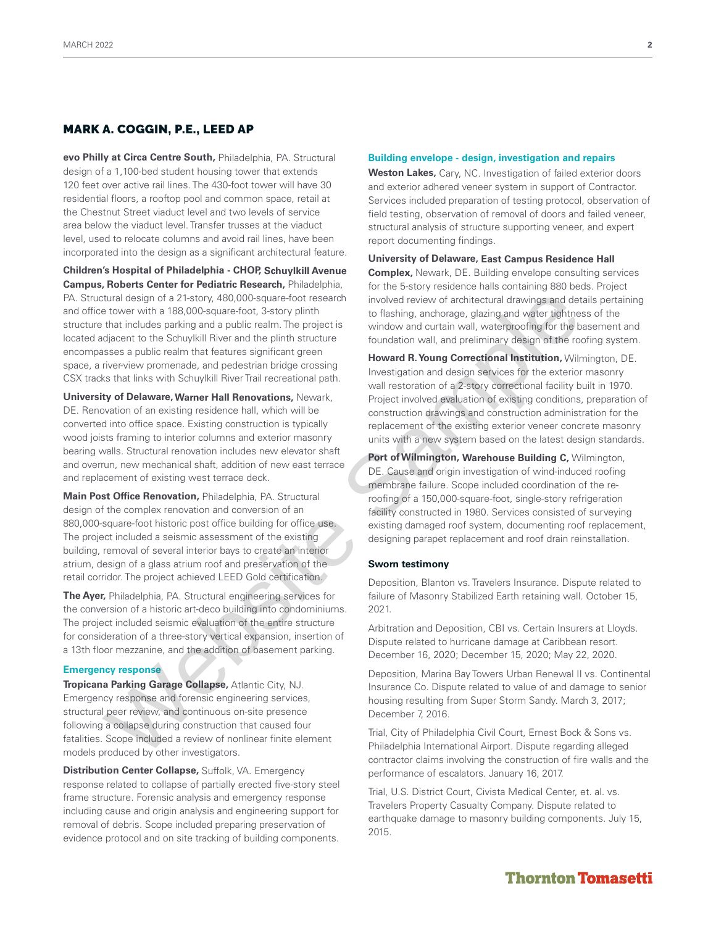## MARK A. COGGIN, P.E., LEED AP

**evo Philly at Circa Centre South,** Philadelphia, PA. Structural design of a 1,100-bed student housing tower that extends 120 feet over active rail lines. The 430-foot tower will have 30 residential floors, a rooftop pool and common space, retail at the Chestnut Street viaduct level and two levels of service area below the viaduct level. Transfer trusses at the viaduct level, used to relocate columns and avoid rail lines, have been incorporated into the design as a significant architectural feature.

**Children's Hospital of Philadelphia - CHOP, Schuylkill Avenue Campus, Roberts Center for Pediatric Research,** Philadelphia, PA. Structural design of a 21-story, 480,000-square-foot research and office tower with a 188,000-square-foot, 3-story plinth structure that includes parking and a public realm. The project is located adjacent to the Schuylkill River and the plinth structure encompasses a public realm that features significant green space, a river-view promenade, and pedestrian bridge crossing CSX tracks that links with Schuylkill River Trail recreational path. that dissign of a 7-last method into the existing consideration into the consideration of a consideration of a consideration of a consideration of a consideration of a consideration of a consideration of a consideration in

**University of Delaware, Warner Hall Renovations,** Newark, DE. Renovation of an existing residence hall, which will be converted into office space. Existing construction is typically wood joists framing to interior columns and exterior masonry bearing walls. Structural renovation includes new elevator shaft and overrun, new mechanical shaft, addition of new east terrace and replacement of existing west terrace deck.

**Main Post Office Renovation,** Philadelphia, PA. Structural design of the complex renovation and conversion of an 880,000-square-foot historic post office building for office use. The project included a seismic assessment of the existing building, removal of several interior bays to create an interior atrium, design of a glass atrium roof and preservation of the retail corridor. The project achieved LEED Gold certification.

**The Ayer,** Philadelphia, PA. Structural engineering services for the conversion of a historic art-deco building into condominiums. The project included seismic evaluation of the entire structure for consideration of a three-story vertical expansion, insertion of a 13th floor mezzanine, and the addition of basement parking.

#### **Emergency response**

**Tropicana Parking Garage Collapse,** Atlantic City, NJ. Emergency response and forensic engineering services, structural peer review, and continuous on-site presence following a collapse during construction that caused four fatalities. Scope included a review of nonlinear finite element models produced by other investigators.

**Distribution Center Collapse,** Suffolk, VA. Emergency response related to collapse of partially erected five-story steel frame structure. Forensic analysis and emergency response including cause and origin analysis and engineering support for removal of debris. Scope included preparing preservation of evidence protocol and on site tracking of building components.

#### **Building envelope - design, investigation and repairs**

**Weston Lakes,** Cary, NC. Investigation of failed exterior doors and exterior adhered veneer system in support of Contractor. Services included preparation of testing protocol, observation of field testing, observation of removal of doors and failed veneer, structural analysis of structure supporting veneer, and expert report documenting findings.

**University of Delaware, East Campus Residence Hall** 

**Complex,** Newark, DE. Building envelope consulting services for the 5-story residence halls containing 880 beds. Project involved review of architectural drawings and details pertaining to flashing, anchorage, glazing and water tightness of the window and curtain wall, waterproofing for the basement and foundation wall, and preliminary design of the roofing system.

**Howard R. Young Correctional Institution,** Wilmington, DE. Investigation and design services for the exterior masonry wall restoration of a 2-story correctional facility built in 1970. Project involved evaluation of existing conditions, preparation of construction drawings and construction administration for the replacement of the existing exterior veneer concrete masonry units with a new system based on the latest design standards.

**Port of Wilmington, Warehouse Building C,** Wilmington, DE. Cause and origin investigation of wind-induced roofing membrane failure. Scope included coordination of the reroofing of a 150,000-square-foot, single-story refrigeration facility constructed in 1980. Services consisted of surveying existing damaged roof system, documenting roof replacement, designing parapet replacement and roof drain reinstallation.

#### **Sworn testimony**

Deposition, Blanton vs. Travelers Insurance. Dispute related to failure of Masonry Stabilized Earth retaining wall. October 15, 2021.

Arbitration and Deposition, CBI vs. Certain Insurers at Lloyds. Dispute related to hurricane damage at Caribbean resort. December 16, 2020; December 15, 2020; May 22, 2020.

Deposition, Marina Bay Towers Urban Renewal II vs. Continental Insurance Co. Dispute related to value of and damage to senior housing resulting from Super Storm Sandy. March 3, 2017; December 7, 2016.

Trial, City of Philadelphia Civil Court, Ernest Bock & Sons vs. Philadelphia International Airport. Dispute regarding alleged contractor claims involving the construction of fire walls and the performance of escalators. January 16, 2017.

Trial, U.S. District Court, Civista Medical Center, et. al. vs. Travelers Property Casualty Company. Dispute related to earthquake damage to masonry building components. July 15, 2015.